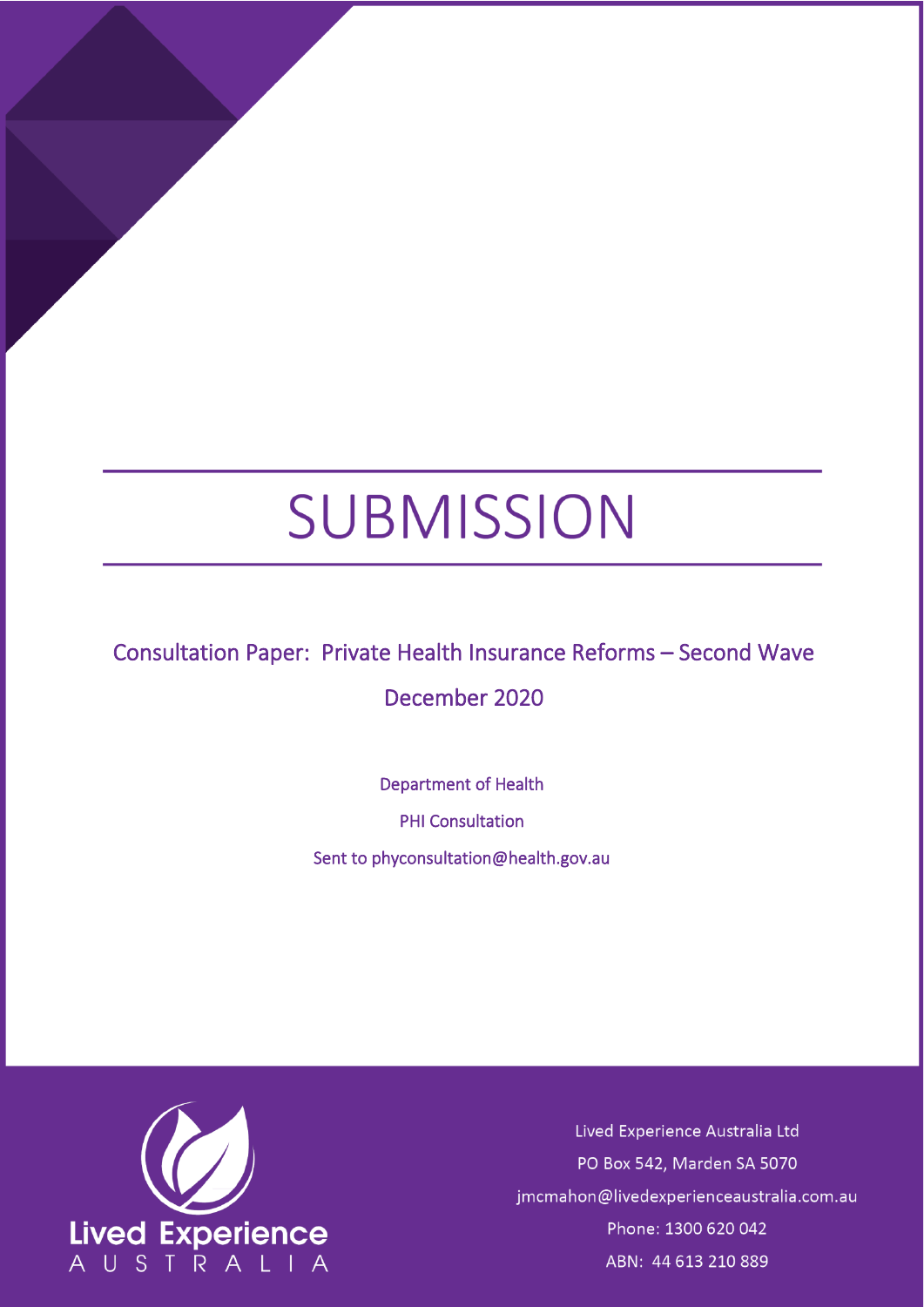# SUBMISSION

# Consultation Paper: Private Health Insurance Reforms – Second Wave

# December 2020

Department of Health

PHI Consultation

Sent to phyconsultation@health.gov.au



Lived Experience Australia Ltd PO Box 542, Marden SA 5070 jmcmahon@livedexperienceaustralia.com.au Phone: 1300 620 042 ABN: 44 613 210 889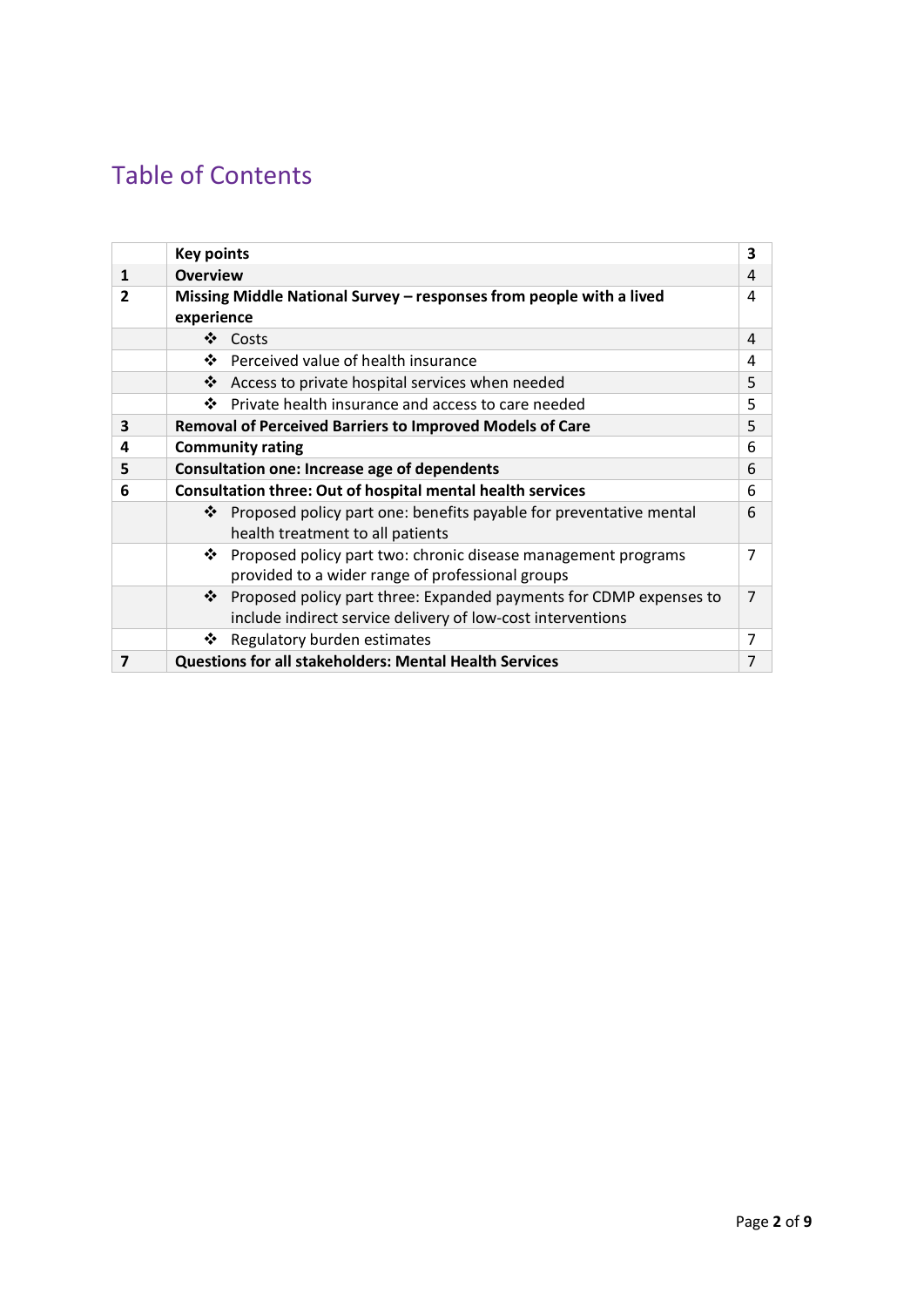# Table of Contents

|              | <b>Key points</b>                                                       | 3 |
|--------------|-------------------------------------------------------------------------|---|
| $\mathbf{1}$ | <b>Overview</b>                                                         | 4 |
| 2            | Missing Middle National Survey - responses from people with a lived     | 4 |
|              | experience                                                              |   |
|              | ❖<br>Costs                                                              | 4 |
|              | ❖<br>Perceived value of health insurance                                | 4 |
|              | ❖ Access to private hospital services when needed                       | 5 |
|              | Private health insurance and access to care needed<br>❖                 | 5 |
| 3            | <b>Removal of Perceived Barriers to Improved Models of Care</b>         | 5 |
| 4            | <b>Community rating</b>                                                 | 6 |
| 5            | <b>Consultation one: Increase age of dependents</b>                     | 6 |
| 6            | <b>Consultation three: Out of hospital mental health services</b>       | 6 |
|              | ❖<br>Proposed policy part one: benefits payable for preventative mental | 6 |
|              | health treatment to all patients                                        |   |
|              | ❖<br>Proposed policy part two: chronic disease management programs      | 7 |
|              | provided to a wider range of professional groups                        |   |
|              | Proposed policy part three: Expanded payments for CDMP expenses to<br>❖ | 7 |
|              | include indirect service delivery of low-cost interventions             |   |
|              | Regulatory burden estimates<br>❖                                        | 7 |
| 7            | <b>Questions for all stakeholders: Mental Health Services</b>           | 7 |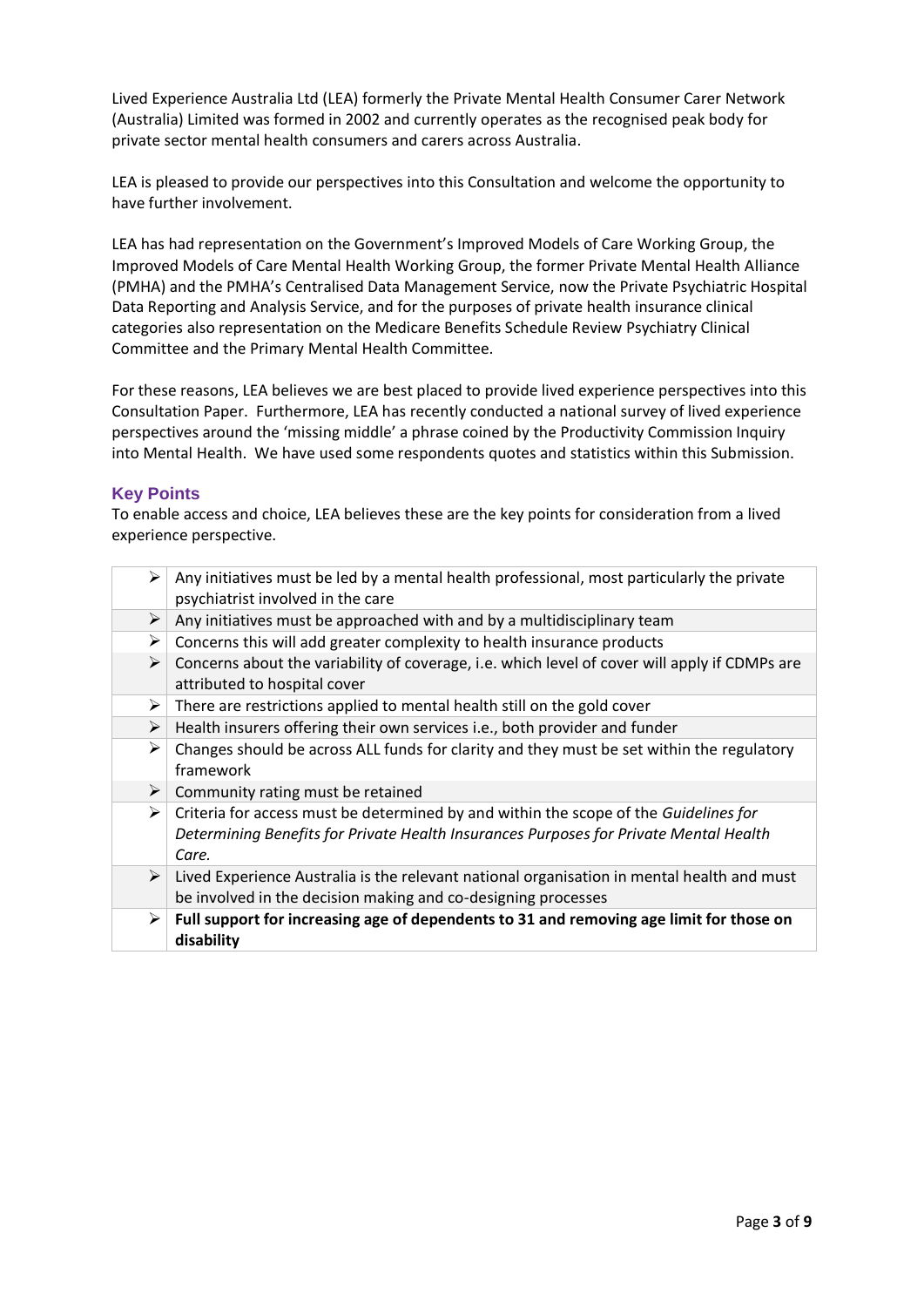Lived Experience Australia Ltd (LEA) formerly the Private Mental Health Consumer Carer Network (Australia) Limited was formed in 2002 and currently operates as the recognised peak body for private sector mental health consumers and carers across Australia.

LEA is pleased to provide our perspectives into this Consultation and welcome the opportunity to have further involvement.

LEA has had representation on the Government's Improved Models of Care Working Group, the Improved Models of Care Mental Health Working Group, the former Private Mental Health Alliance (PMHA) and the PMHA's Centralised Data Management Service, now the Private Psychiatric Hospital Data Reporting and Analysis Service, and for the purposes of private health insurance clinical categories also representation on the Medicare Benefits Schedule Review Psychiatry Clinical Committee and the Primary Mental Health Committee.

For these reasons, LEA believes we are best placed to provide lived experience perspectives into this Consultation Paper. Furthermore, LEA has recently conducted a national survey of lived experience perspectives around the 'missing middle' a phrase coined by the Productivity Commission Inquiry into Mental Health. We have used some respondents quotes and statistics within this Submission.

## **Key Points**

To enable access and choice, LEA believes these are the key points for consideration from a lived experience perspective.

| ➤                     | Any initiatives must be led by a mental health professional, most particularly the private<br>psychiatrist involved in the care                                                        |
|-----------------------|----------------------------------------------------------------------------------------------------------------------------------------------------------------------------------------|
| ➤                     | Any initiatives must be approached with and by a multidisciplinary team                                                                                                                |
| ➤                     | Concerns this will add greater complexity to health insurance products                                                                                                                 |
| $\blacktriangleright$ | Concerns about the variability of coverage, i.e. which level of cover will apply if CDMPs are<br>attributed to hospital cover                                                          |
| ➤                     | There are restrictions applied to mental health still on the gold cover                                                                                                                |
| ➤                     | Health insurers offering their own services i.e., both provider and funder                                                                                                             |
| ➤                     | Changes should be across ALL funds for clarity and they must be set within the regulatory<br>framework                                                                                 |
| $\blacktriangleright$ | Community rating must be retained                                                                                                                                                      |
| ➤                     | Criteria for access must be determined by and within the scope of the Guidelines for<br>Determining Benefits for Private Health Insurances Purposes for Private Mental Health<br>Care. |
| ➤                     | Lived Experience Australia is the relevant national organisation in mental health and must<br>be involved in the decision making and co-designing processes                            |
| ➤                     | Full support for increasing age of dependents to 31 and removing age limit for those on<br>disability                                                                                  |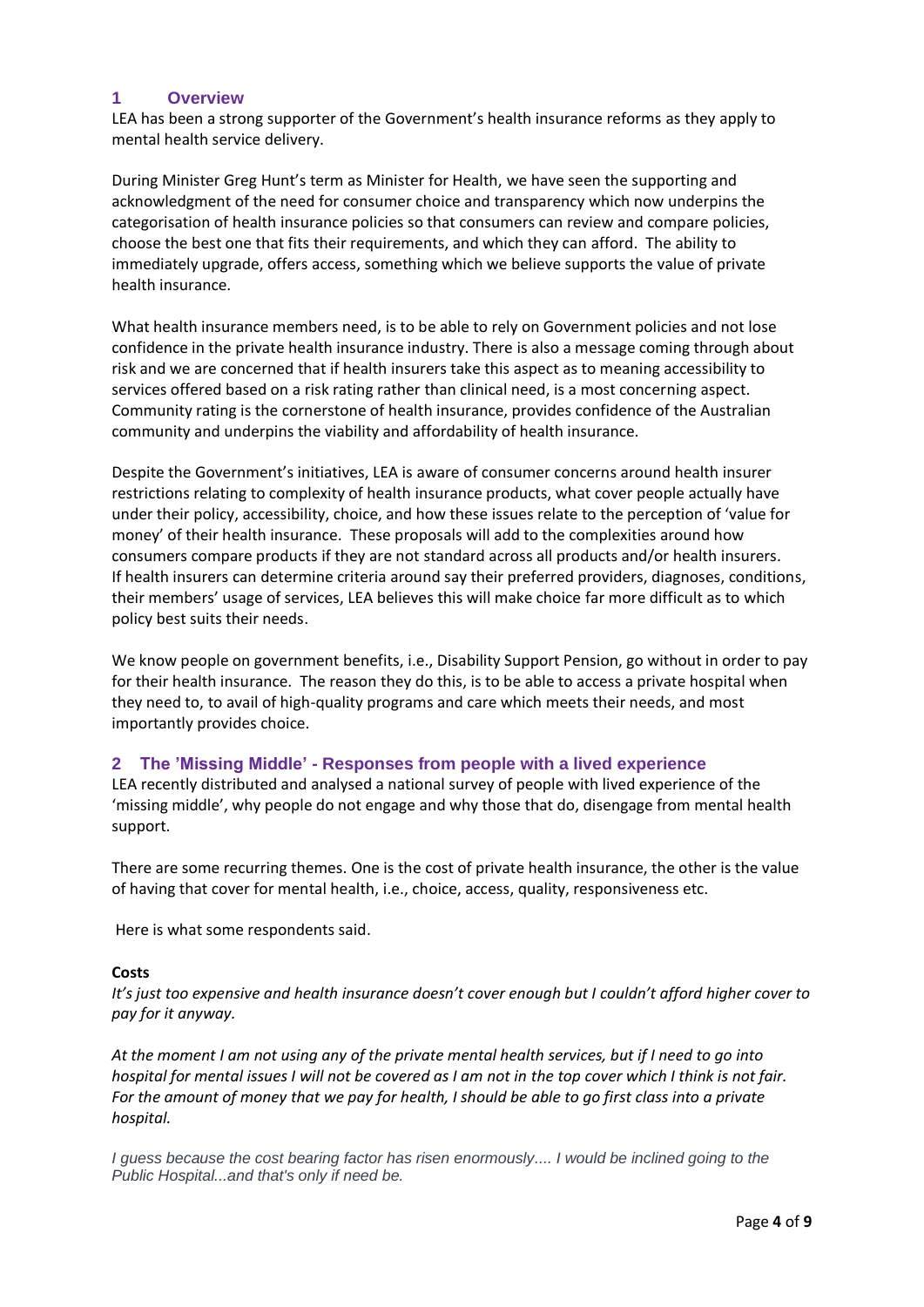# **1 Overview**

LEA has been a strong supporter of the Government's health insurance reforms as they apply to mental health service delivery.

During Minister Greg Hunt's term as Minister for Health, we have seen the supporting and acknowledgment of the need for consumer choice and transparency which now underpins the categorisation of health insurance policies so that consumers can review and compare policies, choose the best one that fits their requirements, and which they can afford. The ability to immediately upgrade, offers access, something which we believe supports the value of private health insurance.

What health insurance members need, is to be able to rely on Government policies and not lose confidence in the private health insurance industry. There is also a message coming through about risk and we are concerned that if health insurers take this aspect as to meaning accessibility to services offered based on a risk rating rather than clinical need, is a most concerning aspect. Community rating is the cornerstone of health insurance, provides confidence of the Australian community and underpins the viability and affordability of health insurance.

Despite the Government's initiatives, LEA is aware of consumer concerns around health insurer restrictions relating to complexity of health insurance products, what cover people actually have under their policy, accessibility, choice, and how these issues relate to the perception of 'value for money' of their health insurance. These proposals will add to the complexities around how consumers compare products if they are not standard across all products and/or health insurers. If health insurers can determine criteria around say their preferred providers, diagnoses, conditions, their members' usage of services, LEA believes this will make choice far more difficult as to which policy best suits their needs.

We know people on government benefits, i.e., Disability Support Pension, go without in order to pay for their health insurance. The reason they do this, is to be able to access a private hospital when they need to, to avail of high-quality programs and care which meets their needs, and most importantly provides choice.

## **2 The 'Missing Middle' - Responses from people with a lived experience**

LEA recently distributed and analysed a national survey of people with lived experience of the 'missing middle', why people do not engage and why those that do, disengage from mental health support.

There are some recurring themes. One is the cost of private health insurance, the other is the value of having that cover for mental health, i.e., choice, access, quality, responsiveness etc.

Here is what some respondents said.

#### **Costs**

*It's just too expensive and health insurance doesn't cover enough but I couldn't afford higher cover to pay for it anyway.*

*At the moment I am not using any of the private mental health services, but if I need to go into hospital for mental issues I will not be covered as I am not in the top cover which I think is not fair. For the amount of money that we pay for health, I should be able to go first class into a private hospital.*

*I guess because the cost bearing factor has risen enormously.... I would be inclined going to the Public Hospital...and that's only if need be.*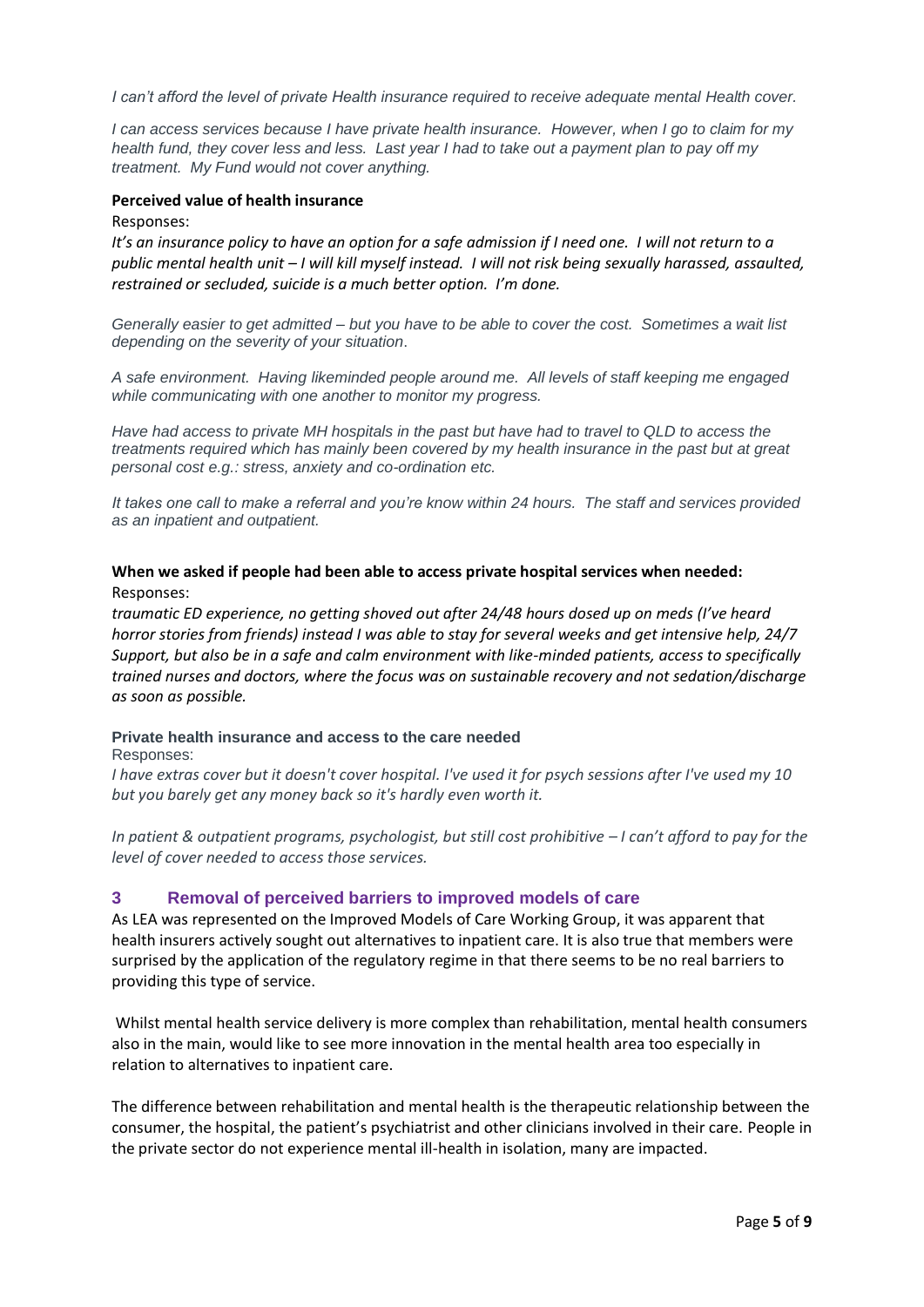*I can't afford the level of private Health insurance required to receive adequate mental Health cover.*

*I can access services because I have private health insurance. However, when I go to claim for my health fund, they cover less and less. Last year I had to take out a payment plan to pay off my treatment. My Fund would not cover anything.*

#### **Perceived value of health insurance**

Responses:

*It's an insurance policy to have an option for a safe admission if I need one. I will not return to a public mental health unit – I will kill myself instead. I will not risk being sexually harassed, assaulted, restrained or secluded, suicide is a much better option. I'm done.*

*Generally easier to get admitted – but you have to be able to cover the cost. Sometimes a wait list depending on the severity of your situation*.

*A safe environment. Having likeminded people around me. All levels of staff keeping me engaged while communicating with one another to monitor my progress.*

*Have had access to private MH hospitals in the past but have had to travel to QLD to access the treatments required which has mainly been covered by my health insurance in the past but at great personal cost e.g.: stress, anxiety and co-ordination etc.*

*It takes one call to make a referral and you're know within 24 hours. The staff and services provided as an inpatient and outpatient.*

#### **When we asked if people had been able to access private hospital services when needed:** Responses:

*traumatic ED experience, no getting shoved out after 24/48 hours dosed up on meds (I've heard horror stories from friends) instead I was able to stay for several weeks and get intensive help, 24/7 Support, but also be in a safe and calm environment with like-minded patients, access to specifically trained nurses and doctors, where the focus was on sustainable recovery and not sedation/discharge as soon as possible.*

#### **Private health insurance and access to the care needed**  Responses:

*I have extras cover but it doesn't cover hospital. I've used it for psych sessions after I've used my 10 but you barely get any money back so it's hardly even worth it.*

*In patient & outpatient programs, psychologist, but still cost prohibitive – I can't afford to pay for the level of cover needed to access those services.*

## **3 Removal of perceived barriers to improved models of care**

As LEA was represented on the Improved Models of Care Working Group, it was apparent that health insurers actively sought out alternatives to inpatient care. It is also true that members were surprised by the application of the regulatory regime in that there seems to be no real barriers to providing this type of service.

Whilst mental health service delivery is more complex than rehabilitation, mental health consumers also in the main, would like to see more innovation in the mental health area too especially in relation to alternatives to inpatient care.

The difference between rehabilitation and mental health is the therapeutic relationship between the consumer, the hospital, the patient's psychiatrist and other clinicians involved in their care. People in the private sector do not experience mental ill-health in isolation, many are impacted.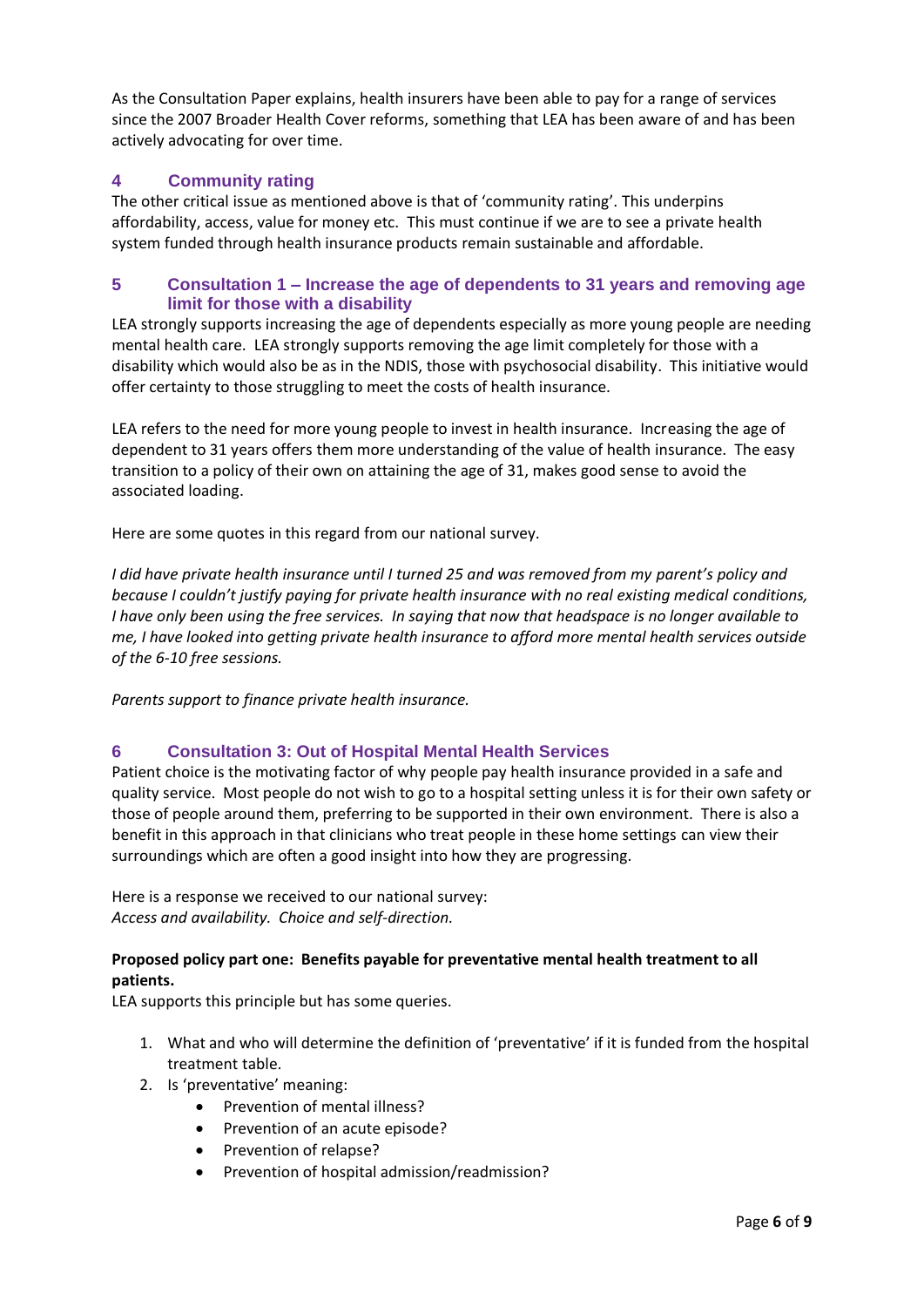As the Consultation Paper explains, health insurers have been able to pay for a range of services since the 2007 Broader Health Cover reforms, something that LEA has been aware of and has been actively advocating for over time.

# **4 Community rating**

The other critical issue as mentioned above is that of 'community rating'. This underpins affordability, access, value for money etc. This must continue if we are to see a private health system funded through health insurance products remain sustainable and affordable.

# **5 Consultation 1 – Increase the age of dependents to 31 years and removing age limit for those with a disability**

LEA strongly supports increasing the age of dependents especially as more young people are needing mental health care. LEA strongly supports removing the age limit completely for those with a disability which would also be as in the NDIS, those with psychosocial disability. This initiative would offer certainty to those struggling to meet the costs of health insurance.

LEA refers to the need for more young people to invest in health insurance. Increasing the age of dependent to 31 years offers them more understanding of the value of health insurance. The easy transition to a policy of their own on attaining the age of 31, makes good sense to avoid the associated loading.

Here are some quotes in this regard from our national survey.

*I did have private health insurance until I turned 25 and was removed from my parent's policy and because I couldn't justify paying for private health insurance with no real existing medical conditions, I have only been using the free services. In saying that now that headspace is no longer available to me, I have looked into getting private health insurance to afford more mental health services outside of the 6-10 free sessions.*

*Parents support to finance private health insurance.*

# **6 Consultation 3: Out of Hospital Mental Health Services**

Patient choice is the motivating factor of why people pay health insurance provided in a safe and quality service. Most people do not wish to go to a hospital setting unless it is for their own safety or those of people around them, preferring to be supported in their own environment. There is also a benefit in this approach in that clinicians who treat people in these home settings can view their surroundings which are often a good insight into how they are progressing.

Here is a response we received to our national survey: *Access and availability. Choice and self-direction.*

# **Proposed policy part one: Benefits payable for preventative mental health treatment to all patients.**

LEA supports this principle but has some queries.

- 1. What and who will determine the definition of 'preventative' if it is funded from the hospital treatment table.
- 2. Is 'preventative' meaning:
	- Prevention of mental illness?
	- Prevention of an acute episode?
	- Prevention of relapse?
	- Prevention of hospital admission/readmission?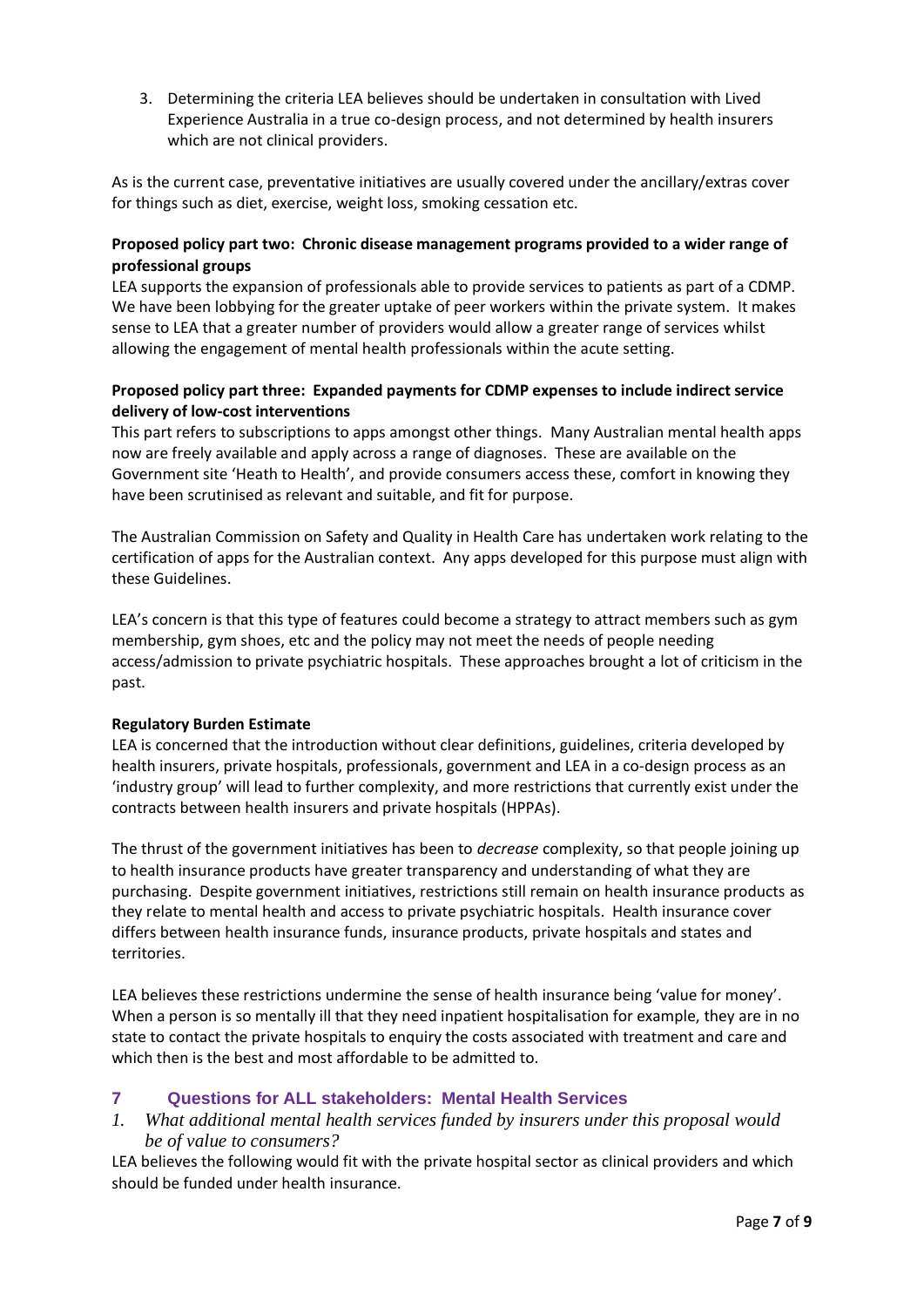3. Determining the criteria LEA believes should be undertaken in consultation with Lived Experience Australia in a true co-design process, and not determined by health insurers which are not clinical providers.

As is the current case, preventative initiatives are usually covered under the ancillary/extras cover for things such as diet, exercise, weight loss, smoking cessation etc.

# **Proposed policy part two: Chronic disease management programs provided to a wider range of professional groups**

LEA supports the expansion of professionals able to provide services to patients as part of a CDMP. We have been lobbying for the greater uptake of peer workers within the private system. It makes sense to LEA that a greater number of providers would allow a greater range of services whilst allowing the engagement of mental health professionals within the acute setting.

# **Proposed policy part three: Expanded payments for CDMP expenses to include indirect service delivery of low-cost interventions**

This part refers to subscriptions to apps amongst other things. Many Australian mental health apps now are freely available and apply across a range of diagnoses. These are available on the Government site 'Heath to Health', and provide consumers access these, comfort in knowing they have been scrutinised as relevant and suitable, and fit for purpose.

The Australian Commission on Safety and Quality in Health Care has undertaken work relating to the certification of apps for the Australian context. Any apps developed for this purpose must align with these Guidelines.

LEA's concern is that this type of features could become a strategy to attract members such as gym membership, gym shoes, etc and the policy may not meet the needs of people needing access/admission to private psychiatric hospitals. These approaches brought a lot of criticism in the past.

# **Regulatory Burden Estimate**

LEA is concerned that the introduction without clear definitions, guidelines, criteria developed by health insurers, private hospitals, professionals, government and LEA in a co-design process as an 'industry group' will lead to further complexity, and more restrictions that currently exist under the contracts between health insurers and private hospitals (HPPAs).

The thrust of the government initiatives has been to *decrease* complexity, so that people joining up to health insurance products have greater transparency and understanding of what they are purchasing. Despite government initiatives, restrictions still remain on health insurance products as they relate to mental health and access to private psychiatric hospitals. Health insurance cover differs between health insurance funds, insurance products, private hospitals and states and territories.

LEA believes these restrictions undermine the sense of health insurance being 'value for money'. When a person is so mentally ill that they need inpatient hospitalisation for example, they are in no state to contact the private hospitals to enquiry the costs associated with treatment and care and which then is the best and most affordable to be admitted to.

# **7 Questions for ALL stakeholders: Mental Health Services**

*1. What additional mental health services funded by insurers under this proposal would be of value to consumers?*

LEA believes the following would fit with the private hospital sector as clinical providers and which should be funded under health insurance.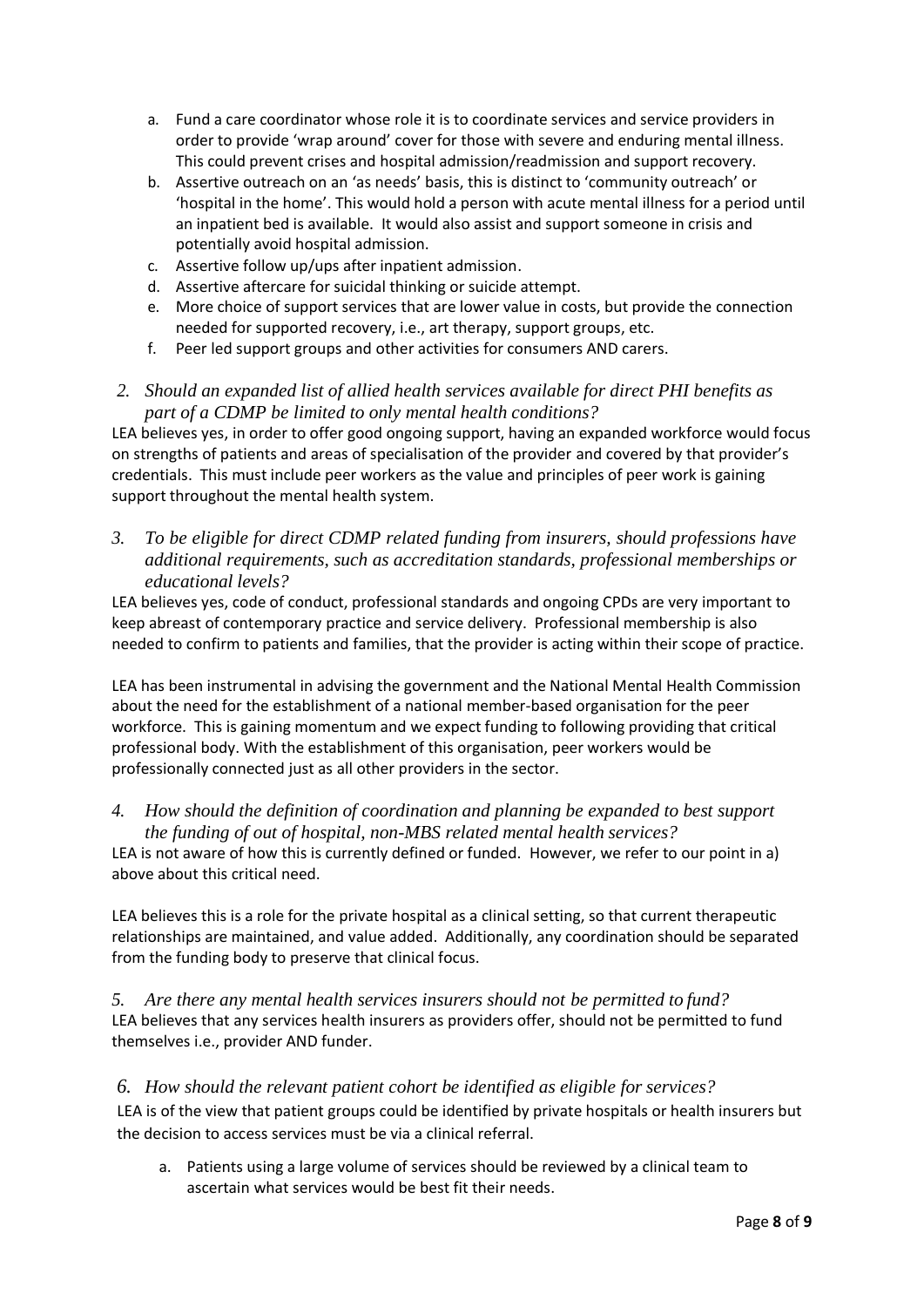- a. Fund a care coordinator whose role it is to coordinate services and service providers in order to provide 'wrap around' cover for those with severe and enduring mental illness. This could prevent crises and hospital admission/readmission and support recovery.
- b. Assertive outreach on an 'as needs' basis, this is distinct to 'community outreach' or 'hospital in the home'. This would hold a person with acute mental illness for a period until an inpatient bed is available. It would also assist and support someone in crisis and potentially avoid hospital admission.
- c. Assertive follow up/ups after inpatient admission.
- d. Assertive aftercare for suicidal thinking or suicide attempt.
- e. More choice of support services that are lower value in costs, but provide the connection needed for supported recovery, i.e., art therapy, support groups, etc.
- f. Peer led support groups and other activities for consumers AND carers.
- *2. Should an expanded list of allied health services available for direct PHI benefits as part of a CDMP be limited to only mental health conditions?*

LEA believes yes, in order to offer good ongoing support, having an expanded workforce would focus on strengths of patients and areas of specialisation of the provider and covered by that provider's credentials. This must include peer workers as the value and principles of peer work is gaining support throughout the mental health system.

*3. To be eligible for direct CDMP related funding from insurers, should professions have additional requirements, such as accreditation standards, professional memberships or educational levels?*

LEA believes yes, code of conduct, professional standards and ongoing CPDs are very important to keep abreast of contemporary practice and service delivery. Professional membership is also needed to confirm to patients and families, that the provider is acting within their scope of practice.

LEA has been instrumental in advising the government and the National Mental Health Commission about the need for the establishment of a national member-based organisation for the peer workforce. This is gaining momentum and we expect funding to following providing that critical professional body. With the establishment of this organisation, peer workers would be professionally connected just as all other providers in the sector.

*4. How should the definition of coordination and planning be expanded to best support the funding of out of hospital, non-MBS related mental health services?*

LEA is not aware of how this is currently defined or funded. However, we refer to our point in a) above about this critical need.

LEA believes this is a role for the private hospital as a clinical setting, so that current therapeutic relationships are maintained, and value added. Additionally, any coordination should be separated from the funding body to preserve that clinical focus.

*5. Are there any mental health services insurers should not be permitted to fund?* LEA believes that any services health insurers as providers offer, should not be permitted to fund themselves i.e., provider AND funder.

*6. How should the relevant patient cohort be identified as eligible for services?* LEA is of the view that patient groups could be identified by private hospitals or health insurers but the decision to access services must be via a clinical referral.

a. Patients using a large volume of services should be reviewed by a clinical team to ascertain what services would be best fit their needs.